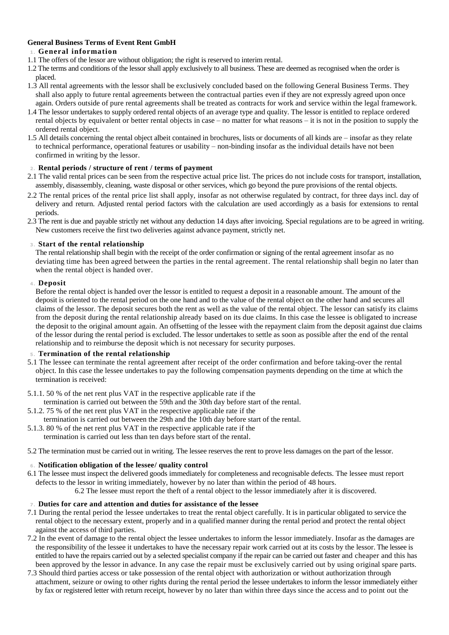# **General Business Terms of Event Rent GmbH**

# **1 . General information**

- 1.1 The offers of the lessor are without obligation; the right is reserved to interim rental.
- 1.2 The terms and conditions of the lessor shall apply exclusively to all business. These are deemed as recognised when the order is placed.
- 1.3 All rental agreements with the lessor shall be exclusively concluded based on the following General Business Terms. They shall also apply to future rental agreements between the contractual parties even if they are not expressly agreed upon once again. Orders outside of pure rental agreements shall be treated as contracts for work and service within the legal framework.
- 1.4 The lessor undertakes to supply ordered rental objects of an average type and quality. The lessor is entitled to replace ordered rental objects by equivalent or better rental objects in case – no matter for what reasons – it is not in the position to supply the ordered rental object.
- 1.5 All details concerning the rental object albeit contained in brochures, lists or documents of all kinds are insofar as they relate to technical performance, operational features or usability – non-binding insofar as the individual details have not been confirmed in writing by the lessor.

# **2 . Rental periods / structure of rent / terms of payment**

- 2.1 The valid rental prices can be seen from the respective actual price list. The prices do not include costs for transport, installation, assembly, disassembly, cleaning, waste disposal or other services, which go beyond the pure provisions of the rental objects.
- 2.2 The rental prices of the rental price list shall apply, insofar as not otherwise regulated by contract, for three days incl. day of delivery and return. Adjusted rental period factors with the calculation are used accordingly as a basis for extensions to rental periods.
- 2.3 The rent is due and payable strictly net without any deduction 14 days after invoicing. Special regulations are to be agreed in writing. New customers receive the first two deliveries against advance payment, strictly net.

# **3 . Start of the rental relationship**

The rental relationship shall begin with the receipt of the order confirmation or signing of the rental agreement insofar as no deviating time has been agreed between the parties in the rental agreement. The rental relationship shall begin no later than when the rental object is handed over.

# **4 . Deposit**

Before the rental object is handed over the lessor is entitled to request a deposit in a reasonable amount. The amount of the deposit is oriented to the rental period on the one hand and to the value of the rental object on the other hand and secures all claims of the lessor. The deposit secures both the rent as well as the value of the rental object. The lessor can satisfy its claims from the deposit during the rental relationship already based on its due claims. In this case the lessee is obligated to increase the deposit to the original amount again. An offsetting of the lessee with the repayment claim from the deposit against due claims of the lessor during the rental period is excluded. The lessor undertakes to settle as soon as possible after the end of the rental relationship and to reimburse the deposit which is not necessary for security purposes.

### **5 . Termination of the rental relationship**

- 5.1 The lessee can terminate the rental agreement after receipt of the order confirmation and before taking-over the rental object. In this case the lessee undertakes to pay the following compensation payments depending on the time at which the termination is received:
- 5.1.1. 50 % of the net rent plus VAT in the respective applicable rate if the
- termination is carried out between the 59th and the 30th day before start of the rental.
- 5.1.2. 75 % of the net rent plus VAT in the respective applicable rate if the termination is carried out between the 29th and the 10th day before start of the rental.
- 5.1.3. 80 % of the net rent plus VAT in the respective applicable rate if the termination is carried out less than ten days before start of the rental.
- 5.2 The termination must be carried out in writing. The lessee reserves the rent to prove less damages on the part of the lessor.

# **6 . Notification obligation of the lessee/ quality control**

6.1 The lessee must inspect the delivered goods immediately for completeness and recognisable defects. The lessee must report defects to the lessor in writing immediately, however by no later than within the period of 48 hours.

6.2 The lessee must report the theft of a rental object to the lessor immediately after it is discovered.

### **7 . Duties for care and attention and duties for assistance of the lessee**

- 7.1 During the rental period the lessee undertakes to treat the rental object carefully. It is in particular obligated to service the rental object to the necessary extent, properly and in a qualified manner during the rental period and protect the rental object against the access of third parties.
- 7.2 In the event of damage to the rental object the lessee undertakes to inform the lessor immediately. Insofar as the damages are the responsibility of the lessee it undertakes to have the necessary repair work carried out at its costs by the lessor. The lessee is entitled to have the repairs carried out by a selected specialist company if the repair can be carried out faster and cheaper and this has been approved by the lessor in advance. In any case the repair must be exclusively carried out by using original spare parts.
- 7.3 Should third parties access or take possession of the rental object with authorization or without authorization through attachment, seizure or owing to other rights during the rental period the lessee undertakes to inform the lessor immediately either by fax or registered letter with return receipt, however by no later than within three days since the access and to point out the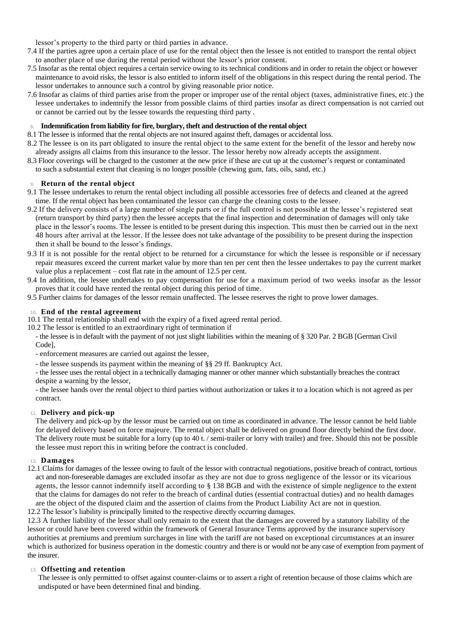lessor's property to the third party or third parties in advance.

- 7.4 If the parties agree upon a certain place of use for the rental object then the lessee is not entitled to transport the rental object to another place of use during the rental period without the lessor's prior consent.
- 7.5 Insofar as the rental object requires a certain service owing to its technical conditions and in order to retain the object or however maintenance to avoid risks, the lessor is also entitled to inform itself of the obligations in this respect during the rental period. The lessor undertakes to announce such a control by giving reasonable prior notice.
- 7.6 Insofar as claims of third parties arise from the proper or improper use of the rental object (taxes, administrative fines, etc.) the lessee undertakes to indemnify the lessor from possible claims of third parties insofar as direct compensation is not carried out or cannot be carried out by the lessee towards the requesting third party .

# **8. Indemnification from liability for fire, burglary, theft and destruction of the rental object**

- 8.1 The lessee is informed that the rental objects are not insured against theft, damages or accidental loss.
- 8.2 The lessee is on its part obligated to insure the rental object to the same extent for the benefit of the lessor and hereby now already assigns all claims from this insurance to the lessor. The lessor hereby now already accepts the assignment.
- 8.3 Floor coverings will be charged to the customer at the new price if these are cut up at the customer's request or contaminated to such a substantial extent that cleaning is no longer possible (chewing gum, fats, oils, sand, etc.)

### **9. Return of the rental object**

- 9.1 The lessee undertakes to return the rental object including all possible accessories free of defects and cleaned at the agreed time. If the rental object has been contaminated the lessor can charge the cleaning costs to the lessee.
- 9.2 If the delivery consists of a large number of single parts or if the full control is not possible at the lessee's registered seat (return transport by third party) then the lessee accepts that the final inspection and determination of damages will only take place in the lessor's rooms. The lessee is entitled to be present during this inspection. This must then be carried out in the next 48 hours after arrival at the lessor. If the lessee does not take advantage of the possibility to be present during the inspection then it shall be bound to the lessor's findings.
- 9.3 If it is not possible for the rental object to be returned for a circumstance for which the lessee is responsible or if necessary repair measures exceed the current market value by more than ten per cent then the lessee undertakes to pay the current market value plus a replacement – cost flat rate in the amount of 12.5 per cent.
- 9.4 In addition, the lessee undertakes to pay compensation for use for a maximum period of two weeks insofar as the lessor proves that it could have rented the rental object during this period of time.

9.5 Further claims for damages of the lessor remain unaffected. The lessee reserves the right to prove lower damages.

### **10. End of the rental agreement**

10.1 The rental relationship shall end with the expiry of a fixed agreed rental period.

- 10.2 The lessor is entitled to an extraordinary right of termination if
- the lessee is in default with the payment of not just slight liabilities within the meaning of § 320 Par. 2 BGB [German Civil Code],
- enforcement measures are carried out against the lessee,
- the lessee suspends its payment within the meaning of §§ 29 ff. Bankruptcy Act.

- the lessee uses the rental object in a technically damaging manner or other manner which substantially breaches the contract despite a warning by the lessor,

- the lessee hands over the rental object to third parties without authorization or takes it to a location which is not agreed as per contract.

# **11. Delivery and pick-up**

The delivery and pick-up by the lessor must be carried out on time as coordinated in advance. The lessor cannot be held liable for delayed delivery based on force majeure. The rental object shall be delivered on ground floor directly behind the first door. The delivery route must be suitable for a lorry (up to 40 t. / semi-trailer or lorry with trailer) and free. Should this not be possible the lessee must report this in writing before the contract is concluded.

### **12. Damages**

12.1 Claims for damages of the lessee owing to fault of the lessor with contractual negotiations, positive breach of contract, tortious act and non-foreseeable damages are excluded insofar as they are not due to gross negligence of the lessor or its vicarious agents, the lessor cannot indemnify itself according to § 138 BGB and with the existence of simple negligence to the extent that the claims for damages do not refer to the breach of cardinal duties (essential contractual duties) and no health damages are the object of the disputed claim and the assertion of claims from the Product Liability Act are not in question.

12.2 The lessor's liability is principally limited to the respective directly occurring damages.

12.3 A further liability of the lessor shall only remain to the extent that the damages are covered by a statutory liability of the lessor or could have been covered within the framework of General Insurance Terms approved by the insurance supervisory authorities at premiums and premium surcharges in line with the tariff are not based on exceptional circumstances at an insurer which is authorized for business operation in the domestic country and there is or would not be any case of exemption from payment of the insurer.

### **13. Offsetting and retention**

The lessee is only permitted to offset against counter-claims or to assert a right of retention because of those claims which are undisputed or have been determined final and binding.